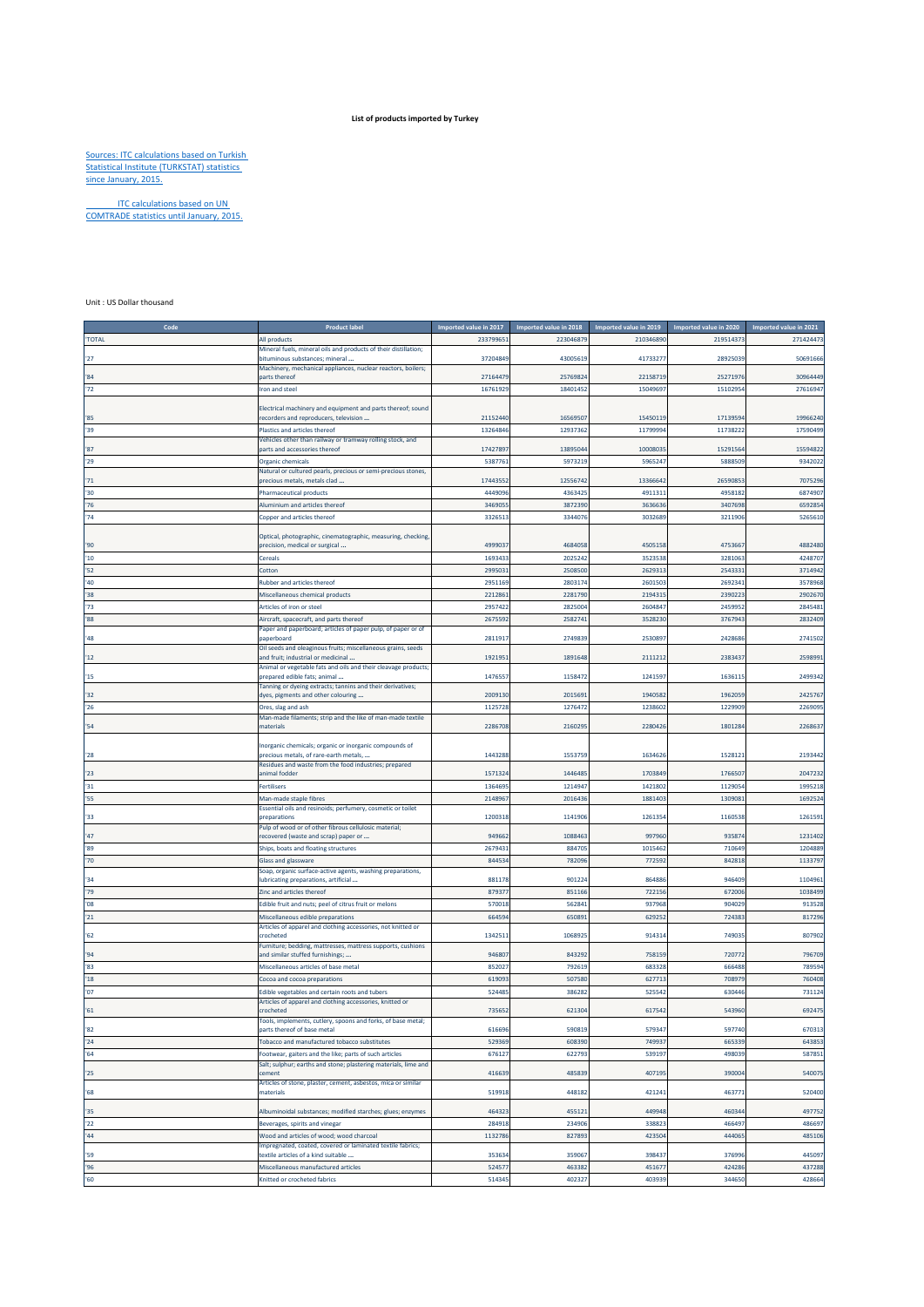## **List of products imported by Turkey**

## Sources: ITC calculations based on Turkish Statistical Institute (TURKSTAT) statistics since January, 2015.

ITC calculations based on UN COMTRADE statistics until January, 2015.

## Unit : US Dollar thousand

| Code         | <b>Product label</b>                                                                                       | Imported value in 2017 | Imported value in 2018 | Imported value in 2019 | Imported value in 2020 | Imported value in 2021 |
|--------------|------------------------------------------------------------------------------------------------------------|------------------------|------------------------|------------------------|------------------------|------------------------|
| 'TOTAL       | All products                                                                                               | 23379965               | 22304687               | 210346890              | 21951437               | 271424473              |
|              | Mineral fuels, mineral oils and products of their distillation;                                            |                        |                        |                        |                        |                        |
| 27           | bituminous substances; mineral<br>Machinery, mechanical appliances, nuclear reactors, boilers;             | 37204849               | 4300561                | 4173327                | 28925039               | 50691666               |
| '84          | parts thereof                                                                                              | 27164479               | 2576982                | 2215871                | 2527197                | 30964449               |
| 72           | ron and steel                                                                                              | 16761929               | 18401452               | 1504969                | 15102954               | 2761694                |
|              |                                                                                                            |                        |                        |                        |                        |                        |
| '85          | Electrical machinery and equipment and parts thereof; sound<br>recorders and reproducers, television       | 21152440               | 1656950                | 1545011                | 17139594               | 19966240               |
| 39           | <b>Plastics and articles thereof</b>                                                                       | 13264846               | 12937362               | 1179999                | 11738222               | 17590499               |
|              | Vehicles other than railway or tramway rolling stock, and                                                  |                        |                        |                        |                        |                        |
| '87          | parts and accessories thereof                                                                              | 1742789                | 1389504                | 1000803                | 1529156                | 1559482                |
| '29          | Organic chemicals                                                                                          | 538776                 | 597321                 | 596524                 | 5888509                | 934202                 |
| '71          | Natural or cultured pearls, precious or semi-precious stones,<br>precious metals, metals clad              | 17443552               | 1255674                | 1336664                | 2659085                | 707529                 |
| $30^{\circ}$ | <b>Pharmaceutical products</b>                                                                             | 4449096                | 436342                 | 491131                 | 495818                 | 687490                 |
| '76          | Aluminium and articles thereof                                                                             | 3469055                | 3872390                | 363663                 | 3407698                | 659285                 |
| 74           | Copper and articles thereof                                                                                | 3326513                | 334407                 | 303268                 | 3211906                | 5265610                |
|              |                                                                                                            |                        |                        |                        |                        |                        |
|              | Optical, photographic, cinematographic, measuring, checking,                                               | 499903                 | 468405                 |                        |                        |                        |
| 90'<br>'10   | precision, medical or surgical<br>Cereals                                                                  | 1693433                | 202524                 | 450515<br>352353       | 475366<br>328106       | 4882480<br>4248707     |
| 52           | Cotton                                                                                                     | 2995031                | 250850                 | 262931                 | 254333                 | 3714942                |
| '40          | <b>Rubber and articles thereof</b>                                                                         | 2951169                | 280317                 | 260150                 | 269234                 | 3578968                |
| 38           | Miscellaneous chemical products                                                                            | 2212861                | 2281790                | 219431                 | 239022                 | 290267                 |
| 73           | Articles of iron or steel                                                                                  | 2957422                | 2825004                | 2604847                | 245995                 | 2845481                |
| 88'          | Aircraft, spacecraft, and parts thereof                                                                    | 2675592                | 258274                 | 352823                 | 376794                 | 2832409                |
|              | Paper and paperboard; articles of paper pulp, of paper or of                                               |                        |                        |                        |                        |                        |
| '48          | paperboard                                                                                                 | 2811917                | 274983                 | 253089                 | 2428686                | 2741502                |
| '12          | Oil seeds and oleaginous fruits; miscellaneous grains, seeds<br>and fruit; industrial or medicinal         | 1921951                | 1891648                | 2111212                | 2383437                | 259899                 |
| 15           | Animal or vegetable fats and oils and their cleavage products;<br>prepared edible fats; animal             | 1476557                | 1158472                | 1241597                | 1636119                | 249934                 |
| 32           | Tanning or dyeing extracts; tannins and their derivatives;<br>dyes, pigments and other colouring           | 2009130                | 2015691                | 1940582                | 1962059                | 242576                 |
| 26           | Ores, slag and ash                                                                                         | 1125728                | 127647                 | 123860                 | 1229909                | 226909                 |
| '54          | Man-made filaments; strip and the like of man-made textile<br>naterials                                    | 2286708                | 216029                 | 228042                 | 180128                 | 226863                 |
|              |                                                                                                            |                        |                        |                        |                        |                        |
| '28          | norganic chemicals; organic or inorganic compounds of<br>precious metals, of rare-earth metals,            | 1443288                | 155375                 | 163462                 | 152812                 | 2193442                |
|              | Residues and waste from the food industries; prepared                                                      |                        |                        |                        |                        |                        |
| 23           | animal fodder                                                                                              | 1571324                | 144648                 | 1703849                | 1766507                | 204723                 |
| 31           | <b>Fertilisers</b>                                                                                         | 1364695                | 121494                 | 142180                 | 112905                 | 1995218                |
| '55          | Man-made staple fibres<br>Essential oils and resinoids; perfumery, cosmetic or toilet                      | 2148967                | 2016436                | 188140                 | 130908                 | 169252                 |
| '33          | preparations                                                                                               | 1200318                | 1141906                | 126135                 | 1160538                | 126159                 |
| '47          | Pulp of wood or of other fibrous cellulosic material;<br>recovered (waste and scrap) paper or              | 949662                 | 1088463                | 997960                 | 935874                 | 1231402                |
| '89          | Ships, boats and floating structures                                                                       | 2679431                | 884705                 | 1015462                | 710649                 | 1204889                |
| '70          | <b>Glass and glassware</b>                                                                                 | 844534                 | 78209                  | 77259                  | 842818                 | 113379                 |
|              | Soap, organic surface-active agents, washing preparations,                                                 |                        |                        |                        |                        |                        |
| 34           | lubricating preparations, artificial                                                                       | 881178                 | 90122                  | 864886                 | 946409                 | 1104961                |
| '79          | Zinc and articles thereof                                                                                  | 879377                 | 851166                 | 722156                 | 672006                 | 1038499                |
| 08'          | Edible fruit and nuts; peel of citrus fruit or melons                                                      | 570018                 | 56284                  | 937968                 | 904029                 | 913528                 |
| 21           | Miscellaneous edible preparations                                                                          | 66459                  | 65089                  | 62925                  | 724383                 | 817296                 |
| 62           | Articles of apparel and clothing accessories, not knitted or<br>crocheted                                  | 1342511                | 106892                 | 91431                  | 749035                 | 807902                 |
|              | Furniture; bedding, mattresses, mattress supports, cushions                                                |                        |                        |                        |                        |                        |
| 94           | and similar stuffed furnishings;                                                                           | 946807                 | 843292                 | 75815                  | 72077                  | 796709                 |
| 83<br>18     | Miscellaneous articles of base metal                                                                       | 852027                 | 79261                  | 68332                  | 666488                 | 78959                  |
| '07          | Cocoa and cocoa preparations                                                                               | 619093                 | 507580                 | 627713                 | 708979                 | 760408                 |
|              | Edible vegetables and certain roots and tubers<br>Articles of apparel and clothing accessories, knitted or | 524485                 | 38628                  | 52554                  | 630446                 | 731124                 |
| 61           | crocheted                                                                                                  | 735652                 | 621304                 | 617542                 | 543960                 | 692475                 |
| '82          | Tools, implements, cutlery, spoons and forks, of base metal;<br>parts thereof of base metal                | 616696                 | 59081                  | 57934                  | 597740                 | 670313                 |
| 24           | Tobacco and manufactured tobacco substitutes                                                               | 529369                 | 60839                  | 74993                  | 665339                 | 643853                 |
| 64           | Footwear, gaiters and the like; parts of such articles                                                     | 676127                 | 622793                 | 539197                 | 498039                 | 587851                 |
| 25           | Salt; sulphur; earths and stone; plastering materials, lime and<br>cement                                  | 416639                 | 485839                 | 40719                  | 390004                 | 540075                 |
| $^{\circ}68$ | Articles of stone, plaster, cement, asbestos, mica or similar<br>materials                                 | 519918                 | 448182                 | 42124:                 | 463771                 | 520400                 |
| 35           | Albuminoidal substances; modified starches; glues; enzymes                                                 | 464323                 | 45512                  | 449948                 | 460344                 | 497752                 |
| 22           | Beverages, spirits and vinegar                                                                             | 284918                 | 234906                 | 338823                 | 466497                 | 486697                 |
| 44           | Wood and articles of wood; wood charcoal                                                                   | 1132786                | 82789                  | 42350                  | 444065                 | 485106                 |
|              | mpregnated, coated, covered or laminated textile fabrics;                                                  |                        |                        |                        |                        |                        |
| '59<br>96    | textile articles of a kind suitable<br>Miscellaneous manufactured articles                                 | 353634<br>524577       | 35906<br>46338         | 39843<br>45167         | 376996<br>424286       | 445097<br>437288       |
| 60           | Knitted or crocheted fabrics                                                                               | 514345                 | 40232                  | 403939                 | 344650                 | 428664                 |
|              |                                                                                                            |                        |                        |                        |                        |                        |